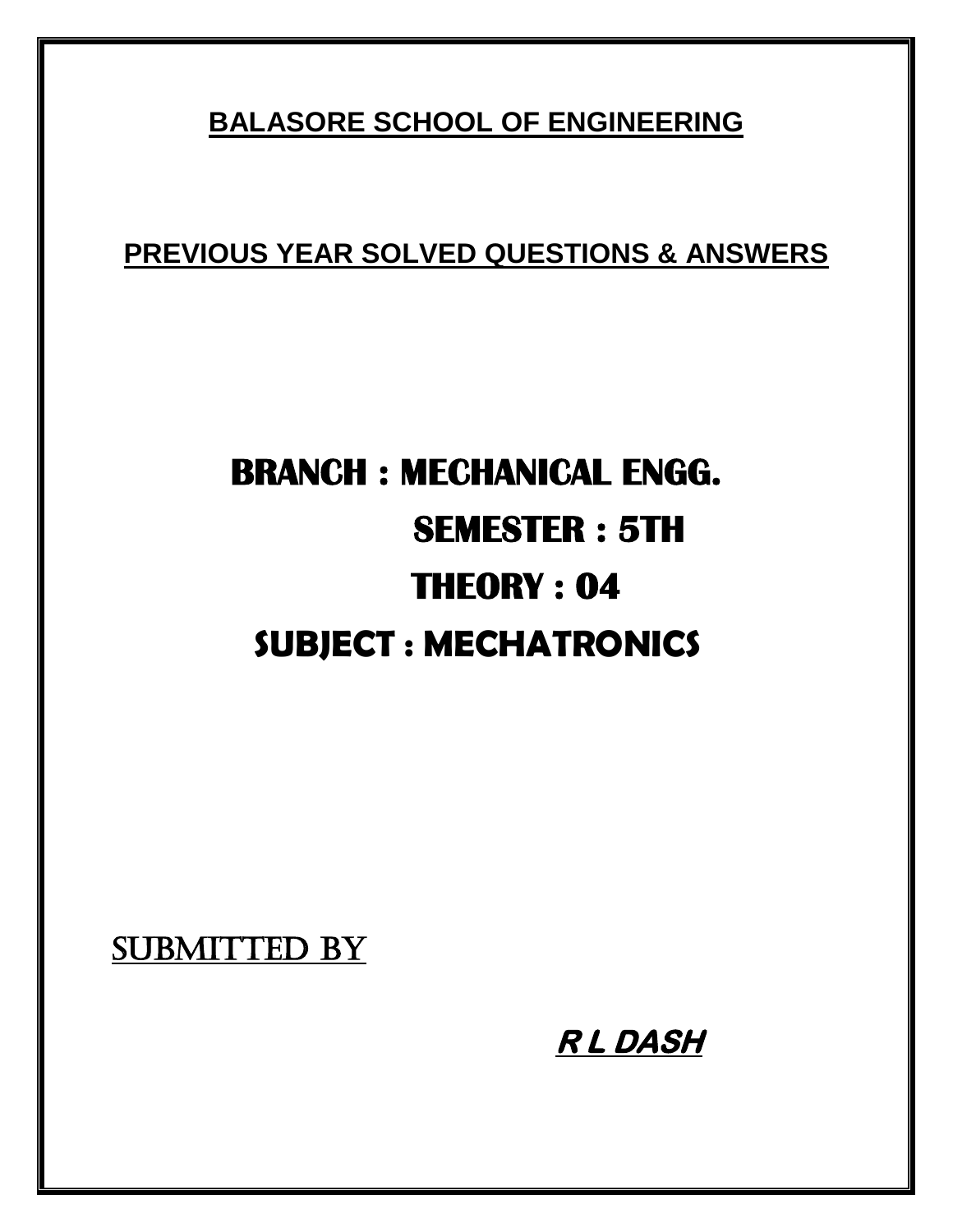# **BALASORE SCHOOL OF ENGINEERING**

**PREVIOUS YEAR SOLVED QUESTIONS & ANSWERS**

# **BRANCH : MECHANICAL ENGG. SEMESTER : 5TH THEORY : 04 SUBJECT : MECHATRONICS**

SUBMITTED BY

 **R L DASH**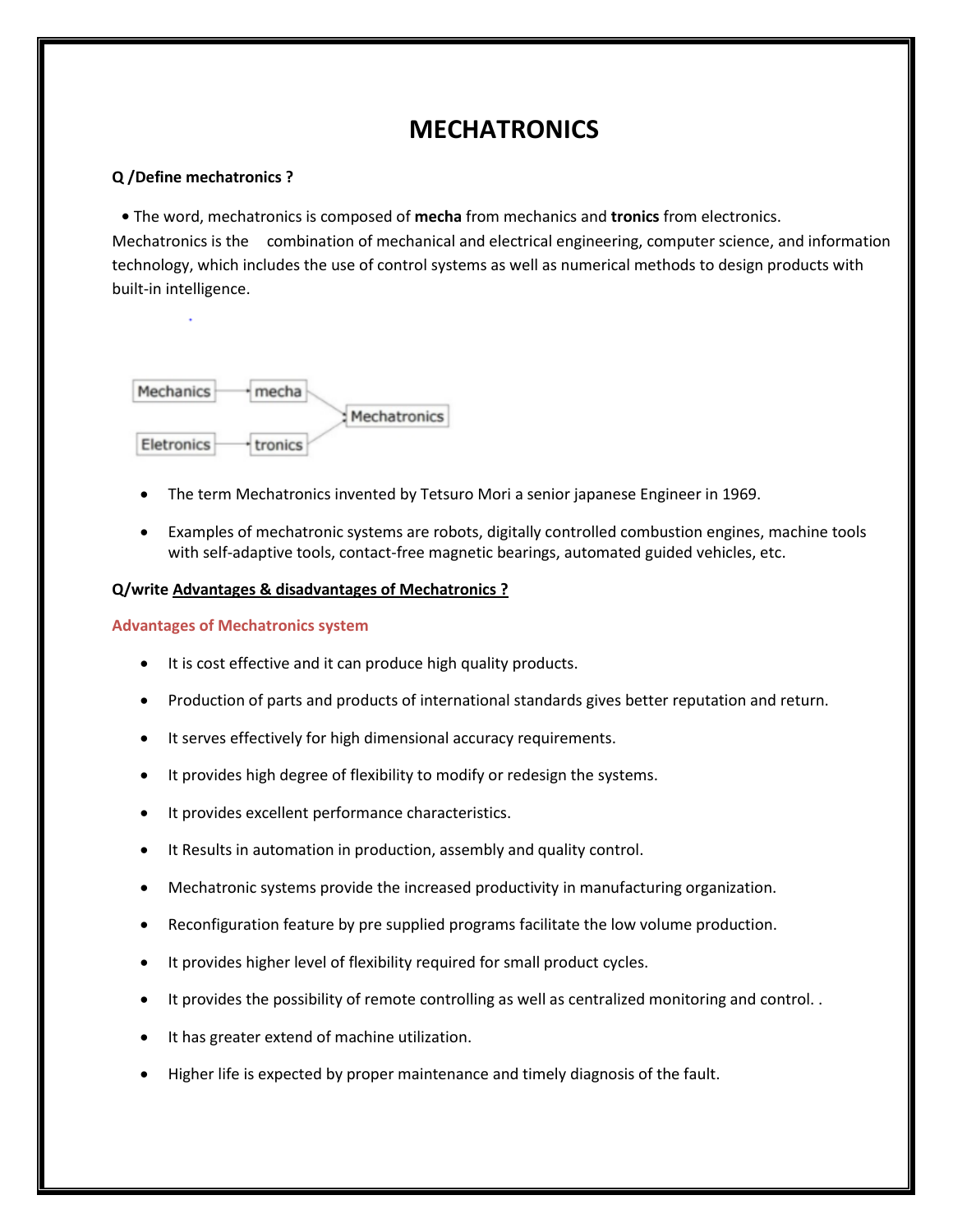# **MECHATRONICS**

#### **Q /Define mechatronics ?**

**•** The word, mechatronics is composed of **mecha** from mechanics and **tronics** from electronics. Mechatronics is the combination of mechanical and electrical engineering, computer science, and information technology, which includes the use of control systems as well as numerical methods to design products with built-in intelligence.



- The term Mechatronics invented by Tetsuro Mori a senior japanese Engineer in 1969.
- Examples of mechatronic systems are robots, digitally controlled combustion engines, machine tools with self-adaptive tools, contact-free magnetic bearings, automated guided vehicles, etc.

#### **Q/write Advantages & disadvantages of Mechatronics ?**

#### **Advantages of Mechatronics system**

- It is cost effective and it can produce high quality products.
- Production of parts and products of international standards gives better reputation and return.
- It serves effectively for high dimensional accuracy requirements.
- It provides high degree of flexibility to modify or redesign the systems.
- It provides excellent performance characteristics.
- It Results in automation in production, assembly and quality control.
- Mechatronic systems provide the increased productivity in manufacturing organization.
- Reconfiguration feature by pre supplied programs facilitate the low volume production.
- It provides higher level of flexibility required for small product cycles.
- It provides the possibility of remote controlling as well as centralized monitoring and control. .
- It has greater extend of machine utilization.
- Higher life is expected by proper maintenance and timely diagnosis of the fault.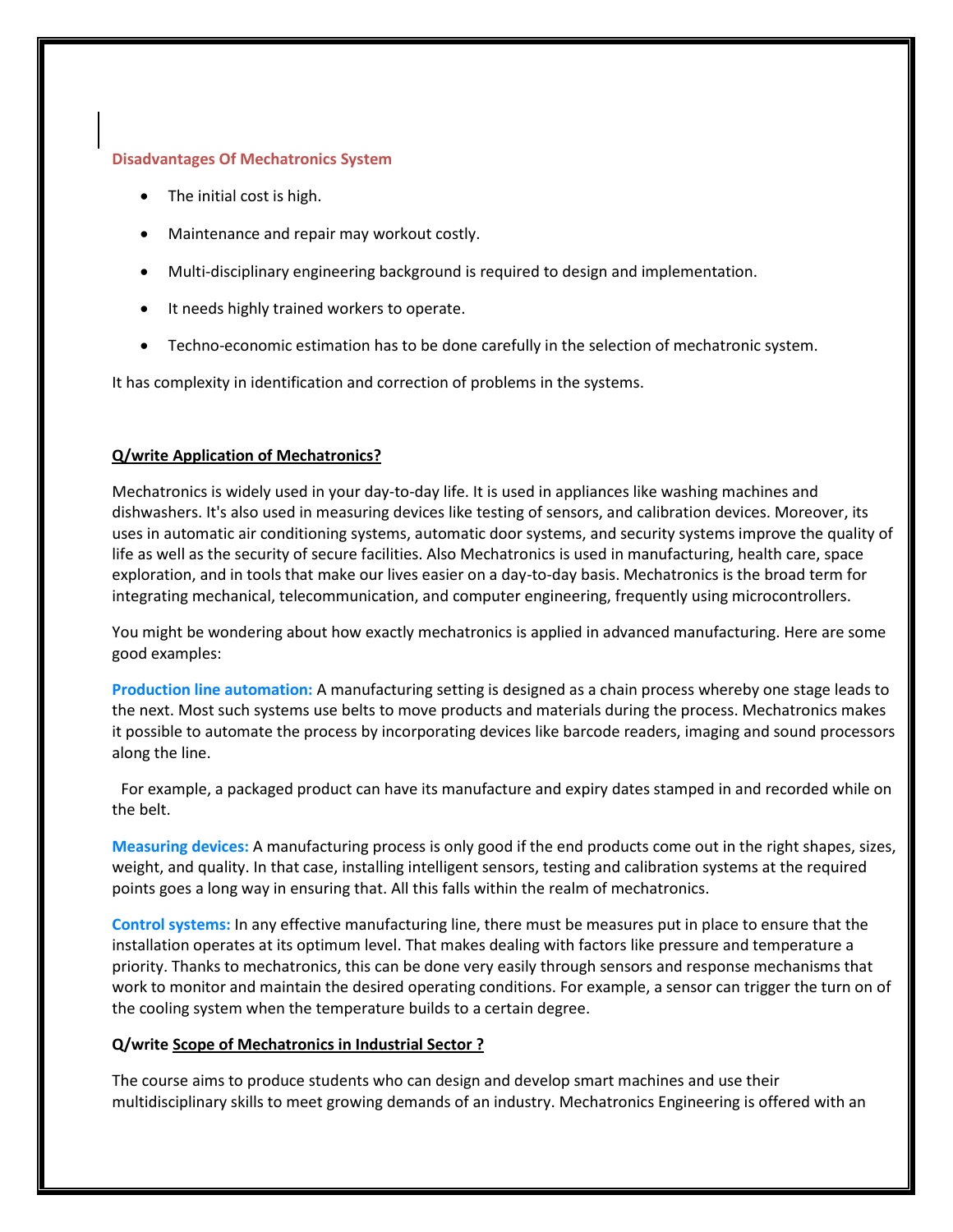#### **Disadvantages Of Mechatronics System**

- The initial cost is high.
- Maintenance and repair may workout costly.
- Multi-disciplinary engineering background is required to design and implementation.
- It needs highly trained workers to operate.
- Techno-economic estimation has to be done carefully in the selection of mechatronic system.

It has complexity in identification and correction of problems in the systems.

#### **Q/write Application of Mechatronics?**

Mechatronics is widely used in your day-to-day life. It is used in appliances like washing machines and dishwashers. It's also used in measuring devices like testing of sensors, and calibration devices. Moreover, its uses in automatic air conditioning systems, automatic door systems, and security systems improve the quality of life as well as the security of secure facilities. Also Mechatronics is used in manufacturing, health care, space exploration, and in tools that make our lives easier on a day-to-day basis. Mechatronics is the broad term for integrating mechanical, telecommunication, and computer engineering, frequently using microcontrollers.

You might be wondering about how exactly mechatronics is applied in advanced manufacturing. Here are some good examples:

**Production line automation:** A manufacturing setting is designed as a chain process whereby one stage leads to the next. Most such systems use belts to move products and materials during the process. Mechatronics makes it possible to automate the process by incorporating devices like barcode readers, imaging and sound processors along the line.

For example, a packaged product can have its manufacture and expiry dates stamped in and recorded while on the belt.

**Measuring devices:** A manufacturing process is only good if the end products come out in the right shapes, sizes, weight, and quality. In that case, installing intelligent sensors, testing and calibration systems at the required points goes a long way in ensuring that. All this falls within the realm of mechatronics.

**Control systems:** In any effective manufacturing line, there must be measures put in place to ensure that the installation operates at its optimum level. That makes dealing with factors like pressure and temperature a priority. Thanks to mechatronics, this can be done very easily through sensors and response mechanisms that work to monitor and maintain the desired operating conditions. For example, a sensor can trigger the turn on of the cooling system when the temperature builds to a certain degree.

#### **Q/write Scope of Mechatronics in Industrial Sector ?**

The course aims to produce students who can design and develop smart machines and use their multidisciplinary skills to meet growing demands of an industry. Mechatronics Engineering is offered with an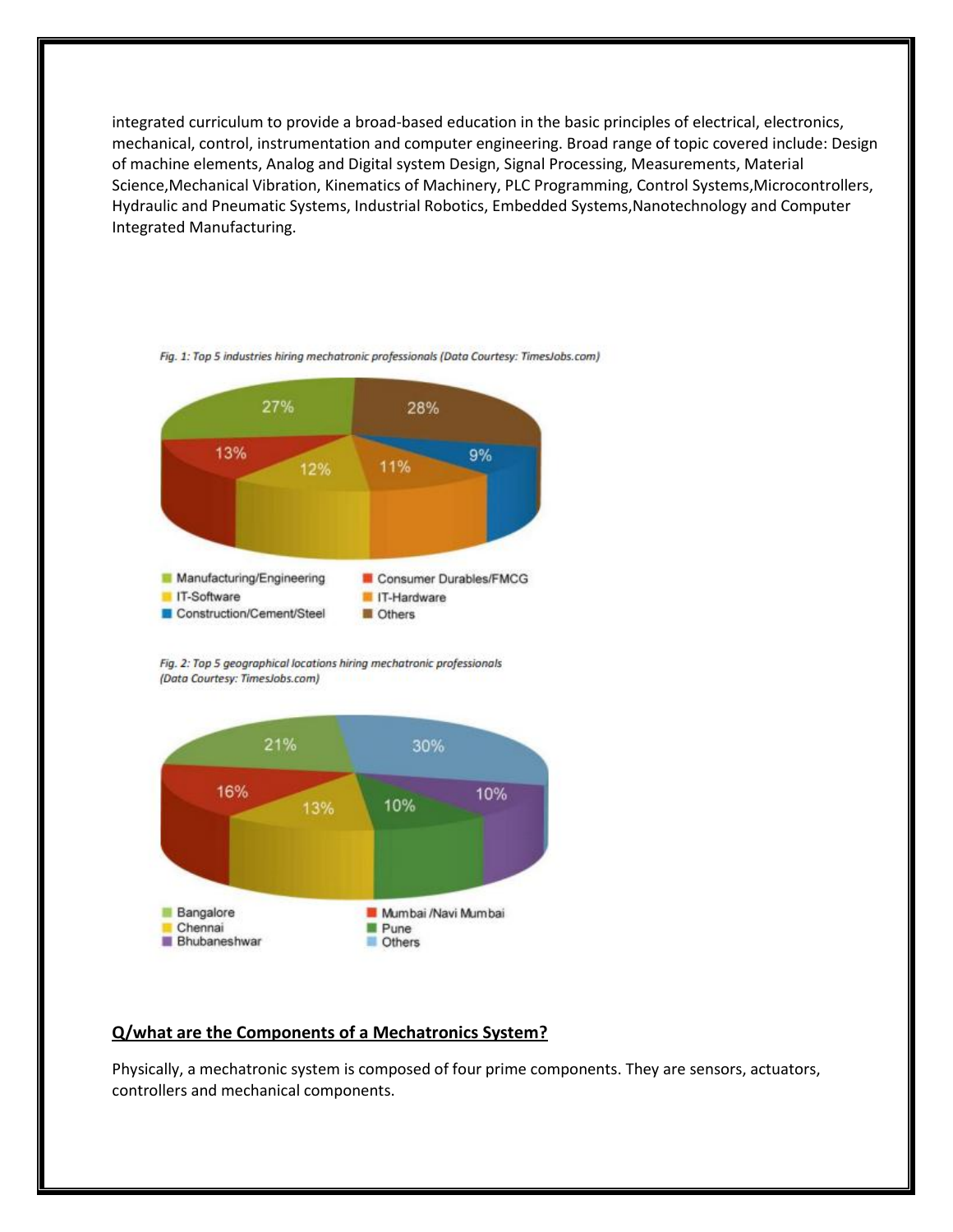integrated curriculum to provide a broad-based education in the basic principles of electrical, electronics, mechanical, control, instrumentation and computer engineering. Broad range of topic covered include: Design of machine elements, Analog and Digital system Design, Signal Processing, Measurements, Material Science,Mechanical Vibration, Kinematics of Machinery, PLC Programming, Control Systems,Microcontrollers, Hydraulic and Pneumatic Systems, Industrial Robotics, Embedded Systems,Nanotechnology and Computer Integrated Manufacturing.



Fig. 1: Top 5 industries hiring mechatronic professionals (Data Courtesy: TimesJobs.com)

Fig. 2: Top 5 geographical locations hiring mechatronic professionals (Data Courtesy: TimesJobs.com)



#### **Q/what are the Components of a Mechatronics System?**

Physically, a mechatronic system is composed of four prime components. They are sensors, actuators, controllers and mechanical components.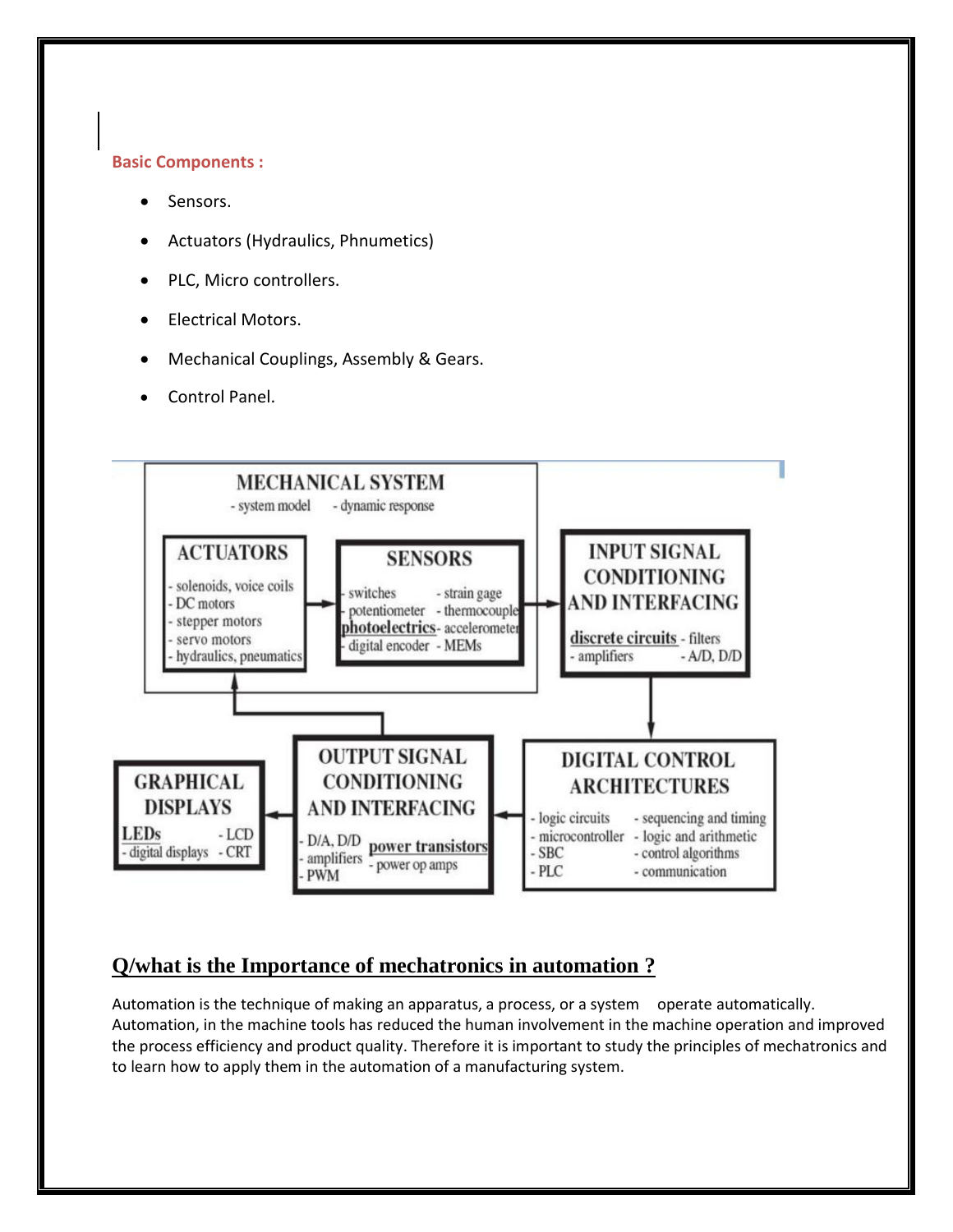#### **Basic Components :**

- Sensors.
- Actuators (Hydraulics, Phnumetics)
- PLC, Micro controllers.
- Electrical Motors.
- Mechanical Couplings, Assembly & Gears.
- Control Panel.



## **Q/what is the Importance of mechatronics in automation ?**

Automation is the technique of making an apparatus, a process, or a system operate automatically. Automation, in the machine tools has reduced the human involvement in the machine operation and improved the process efficiency and product quality. Therefore it is important to study the principles of mechatronics and to learn how to apply them in the automation of a manufacturing system.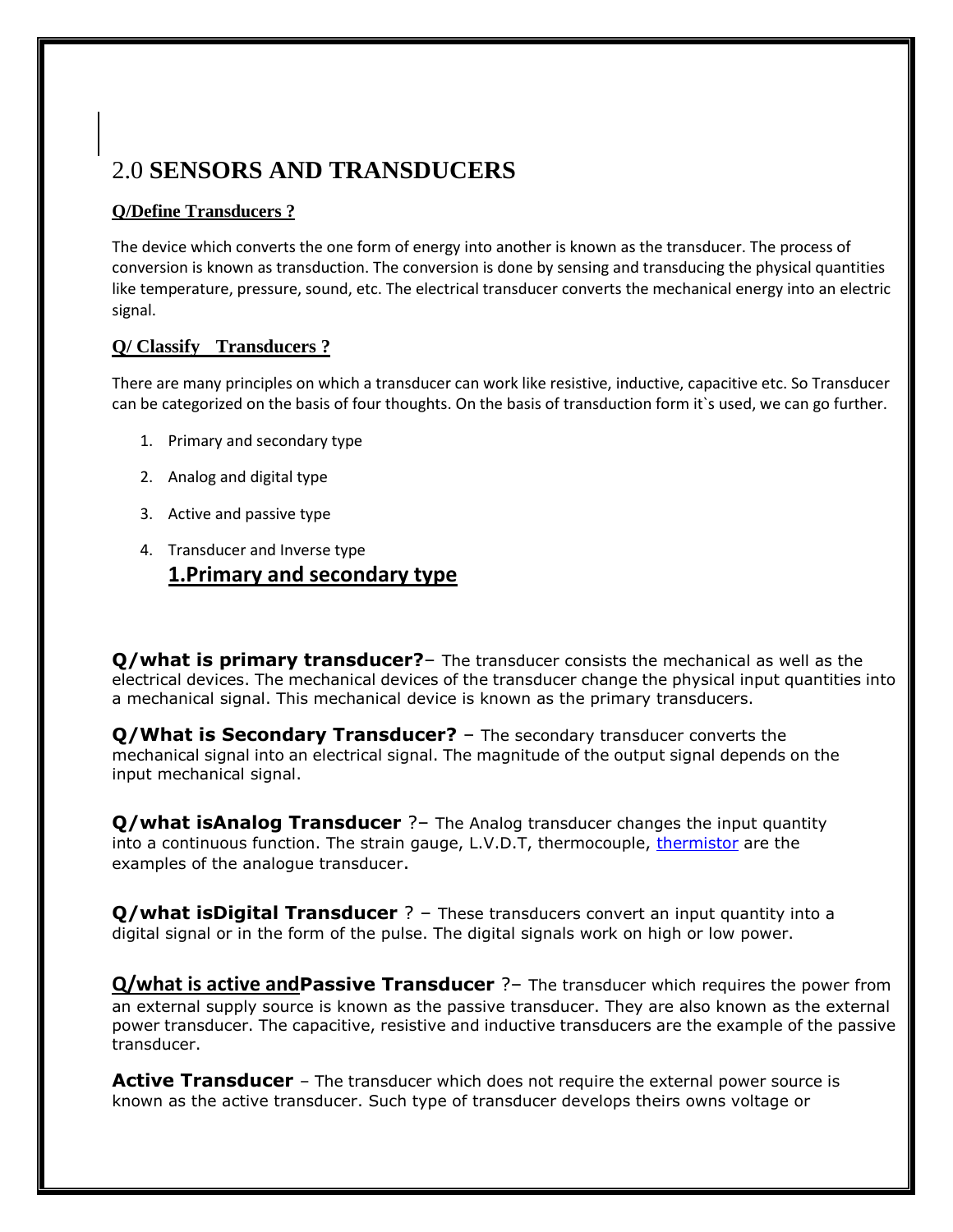# 2.0 **SENSORS AND TRANSDUCERS**

#### **Q/Define Transducers ?**

The device which converts the one form of energy into another is known as the transducer. The process of conversion is known as transduction. The conversion is done by sensing and transducing the physical quantities like temperature, pressure, sound, etc. The electrical transducer converts the mechanical energy into an electric signal.

#### **Q/ Classify Transducers ?**

There are many principles on which a transducer can work like resistive, inductive, capacitive etc. So Transducer can be categorized on the basis of four thoughts. On the basis of transduction form it`s used, we can go further.

- 1. Primary and secondary type
- 2. Analog and digital type
- 3. Active and passive type
- 4. Transducer and Inverse type **1.Primary and secondary type**

**Q/what is primary transducer?**– The transducer consists the mechanical as well as the electrical devices. The mechanical devices of the transducer change the physical input quantities into a mechanical signal. This mechanical device is known as the primary transducers.

**Q/What is Secondary Transducer?** – The secondary transducer converts the mechanical signal into an electrical signal. The magnitude of the output signal depends on the input mechanical signal.

**Q/what isAnalog Transducer** ?– The Analog transducer changes the input quantity into a continuous function. The strain gauge, L.V.D.T, thermocouple, [thermistor](https://circuitglobe.com/thermistor.html) are the examples of the analogue transducer.

**Q/what isDigital Transducer** ? – These transducers convert an input quantity into a digital signal or in the form of the pulse. The digital signals work on high or low power.

**Q/what is active andPassive Transducer** ?– The transducer which requires the power from an external supply source is known as the passive transducer. They are also known as the external power transducer. The capacitive, resistive and inductive transducers are the example of the passive transducer.

**Active Transducer** – The transducer which does not require the external power source is known as the active transducer. Such type of transducer develops theirs owns voltage or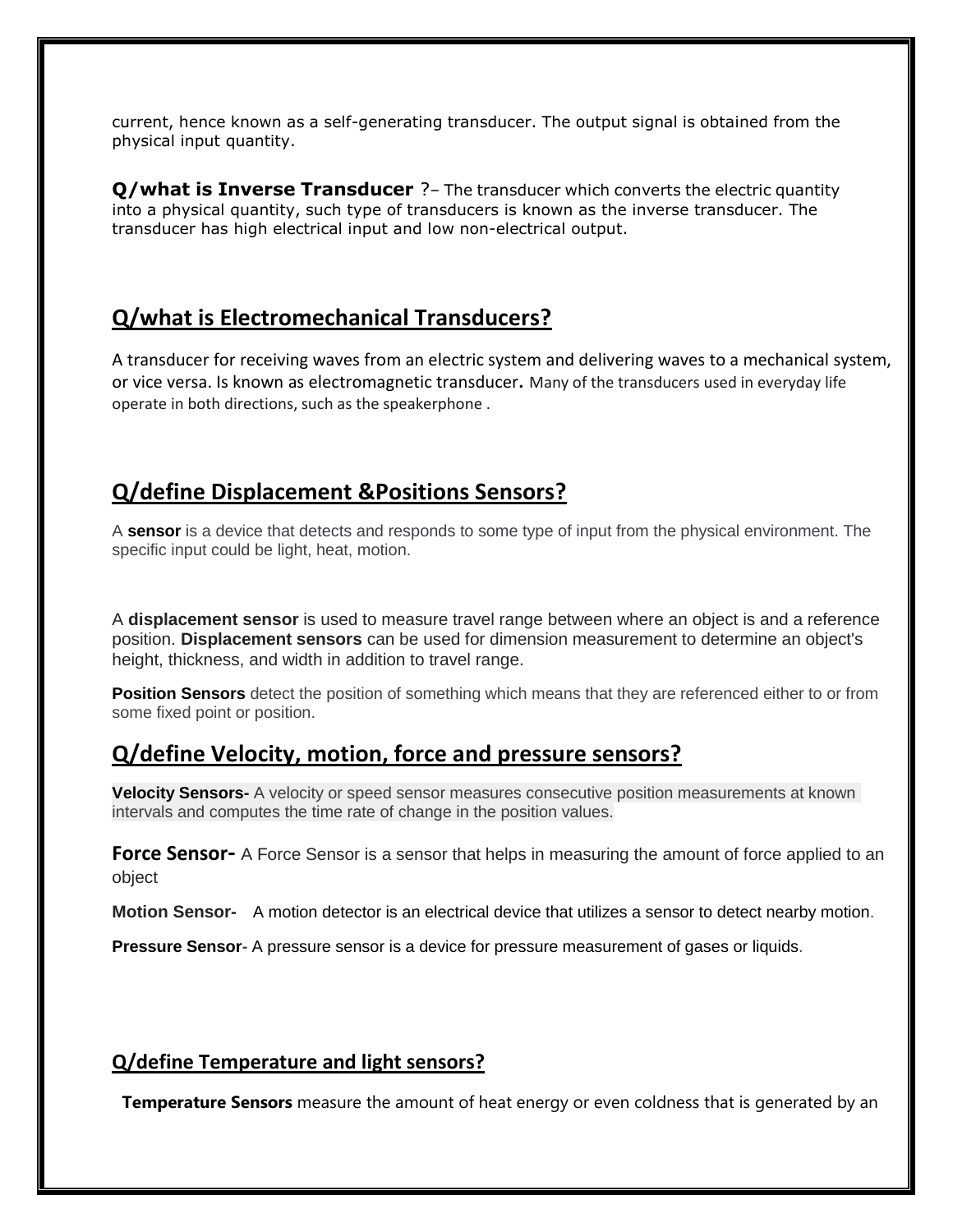current, hence known as a self-generating transducer. The output signal is obtained from the physical input quantity.

**Q/what is Inverse Transducer** ?– The transducer which converts the electric quantity into a physical quantity, such type of transducers is known as the inverse transducer. The transducer has high electrical input and low non-electrical output.

## **Q/what is Electromechanical Transducers?**

A transducer for receiving waves from an electric system and delivering waves to a mechanical system, or vice versa. Is known as electromagnetic transducer**.** Many of the transducers used in everyday life operate in both directions, such as the speakerphone .

# **Q/define Displacement &Positions Sensors?**

A **sensor** is a device that detects and responds to some type of input from the physical environment. The specific input could be light, heat, motion.

A **displacement sensor** is used to measure travel range between where an object is and a reference position. **Displacement sensors** can be used for dimension measurement to determine an object's height, thickness, and width in addition to travel range.

**Position Sensors** detect the position of something which means that they are referenced either to or from some fixed point or position.

# **Q/define Velocity, motion, force and pressure sensors?**

**Velocity Sensors-** A velocity or speed sensor measures consecutive position measurements at known intervals and computes the time rate of change in the position values.

**Force Sensor-** A Force Sensor is a sensor that helps in measuring the amount of force applied to an object

**Motion Sensor-** A motion detector is an electrical device that utilizes a sensor to detect nearby motion.

**Pressure Sensor-** A pressure sensor is a device for pressure measurement of gases or liquids.

#### **Q/define Temperature and light sensors?**

**Temperature Sensors** measure the amount of heat energy or even coldness that is generated by an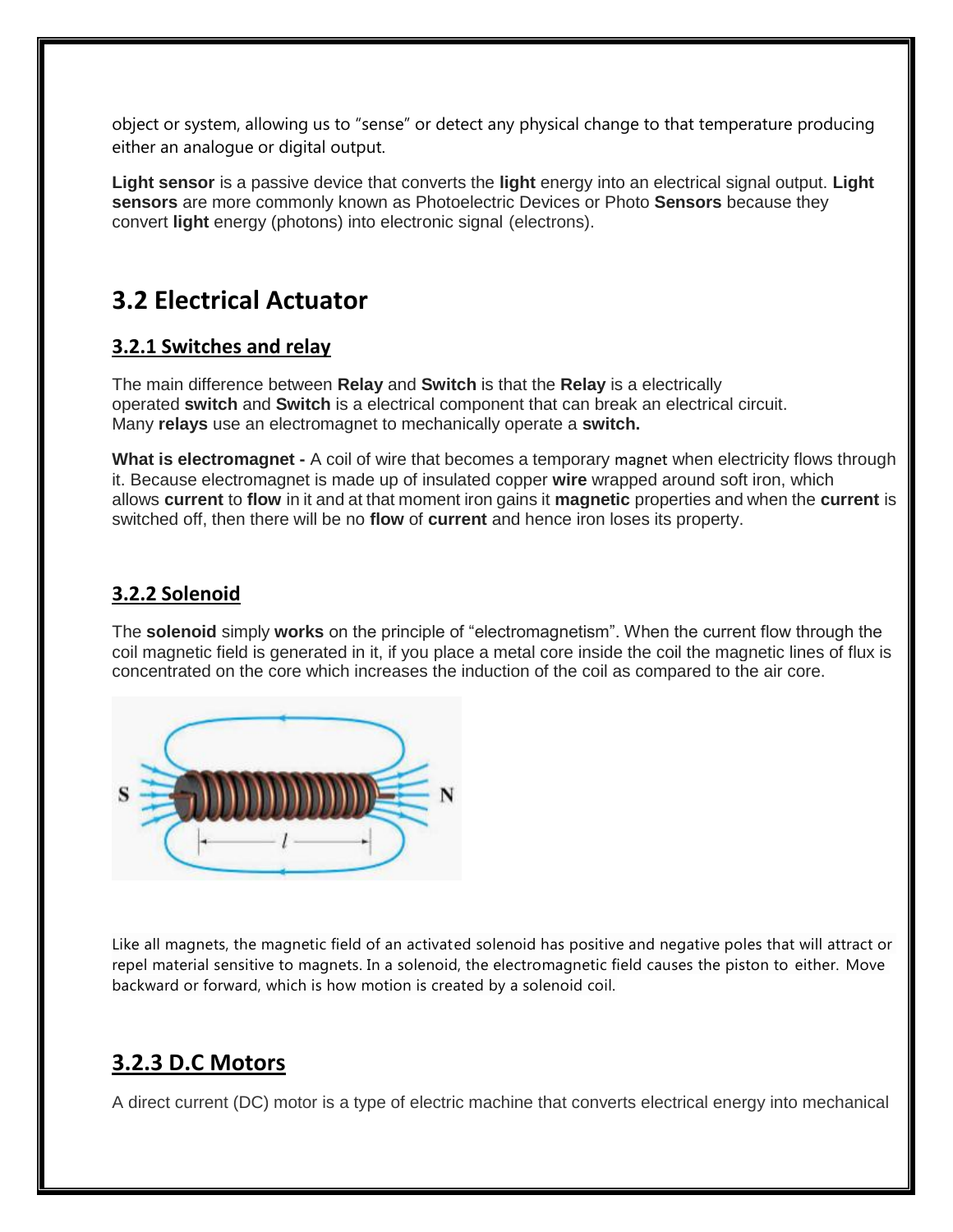object or system, allowing us to "sense" or detect any physical change to that temperature producing either an analogue or digital output.

**Light sensor** is a passive device that converts the **light** energy into an electrical signal output. **Light sensors** are more commonly known as Photoelectric Devices or Photo **Sensors** because they convert **light** energy (photons) into electronic signal (electrons).

# **3.2 Electrical Actuator**

#### **3.2.1 Switches and relay**

The main difference between **Relay** and **Switch** is that the **Relay** is a electrically operated **switch** and **Switch** is a electrical component that can break an electrical circuit. Many **relays** use an electromagnet to mechanically operate a **switch.**

**What is electromagnet -** A coil of wire that becomes a temporary magnet when electricity flows through it. Because electromagnet is made up of insulated copper **wire** wrapped around soft iron, which allows **current** to **flow** in it and at that moment iron gains it **magnetic** properties and when the **current** is switched off, then there will be no **flow** of **current** and hence iron loses its property.

## **3.2.2 Solenoid**

The **solenoid** simply **works** on the principle of "electromagnetism". When the current flow through the coil magnetic field is generated in it, if you place a metal core inside the coil the magnetic lines of flux is concentrated on the core which increases the induction of the coil as compared to the air core.



Like all magnets, the magnetic field of an activated solenoid has positive and negative poles that will attract or repel material sensitive to magnets. In a solenoid, the electromagnetic field causes the piston to either. Move backward or forward, which is how motion is created by a solenoid coil.

# **3.2.3 D.C Motors**

A direct current (DC) motor is a type of electric machine that converts electrical energy into mechanical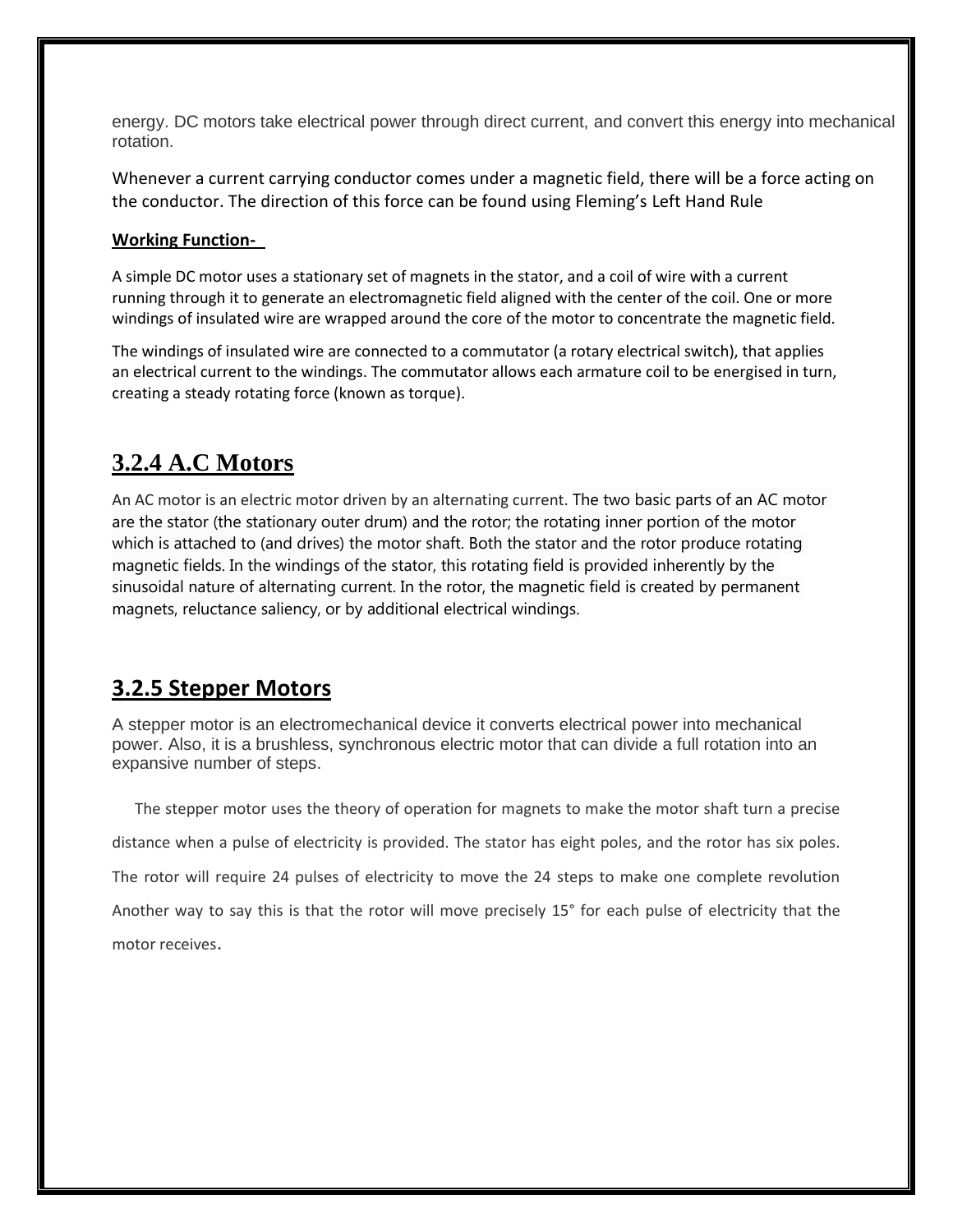energy. DC motors take electrical power through direct current, and convert this energy into mechanical rotation.

Whenever a current carrying conductor comes under a magnetic field, there will be a force acting on the conductor. The direction of this force can be found using Fleming's Left Hand Rule

#### **Working Function-**

A simple DC motor uses a stationary set of magnets in the stator, and a coil of wire with a current running through it to generate an electromagnetic field aligned with the center of the coil. One or more windings of insulated wire are wrapped around the core of the motor to concentrate the magnetic field.

The windings of insulated wire are connected to a commutator (a rotary electrical switch), that applies an electrical current to the windings. The commutator allows each armature coil to be energised in turn, creating a steady rotating force (known as torque).

# **3.2.4 A.C Motors**

An AC motor is an electric motor driven by an alternating current. The two basic parts of an AC motor are the stator (the stationary outer drum) and the rotor; the rotating inner portion of the motor which is attached to (and drives) the motor shaft. Both the stator and the rotor produce rotating magnetic fields. In the windings of the stator, this rotating field is provided inherently by the sinusoidal nature of alternating current. In the rotor, the magnetic field is created by permanent magnets, reluctance saliency, or by additional electrical windings.

## **3.2.5 Stepper Motors**

A stepper motor is an electromechanical device it converts electrical power into mechanical power. Also, it is a brushless, synchronous electric motor that can divide a full rotation into an expansive number of steps.

 The stepper motor uses the theory of operation for magnets to make the motor shaft turn a precise distance when a pulse of electricity is provided. The stator has eight poles, and the rotor has six poles. The rotor will require 24 pulses of electricity to move the 24 steps to make one complete revolution Another way to say this is that the rotor will move precisely 15° for each pulse of electricity that the motor receives.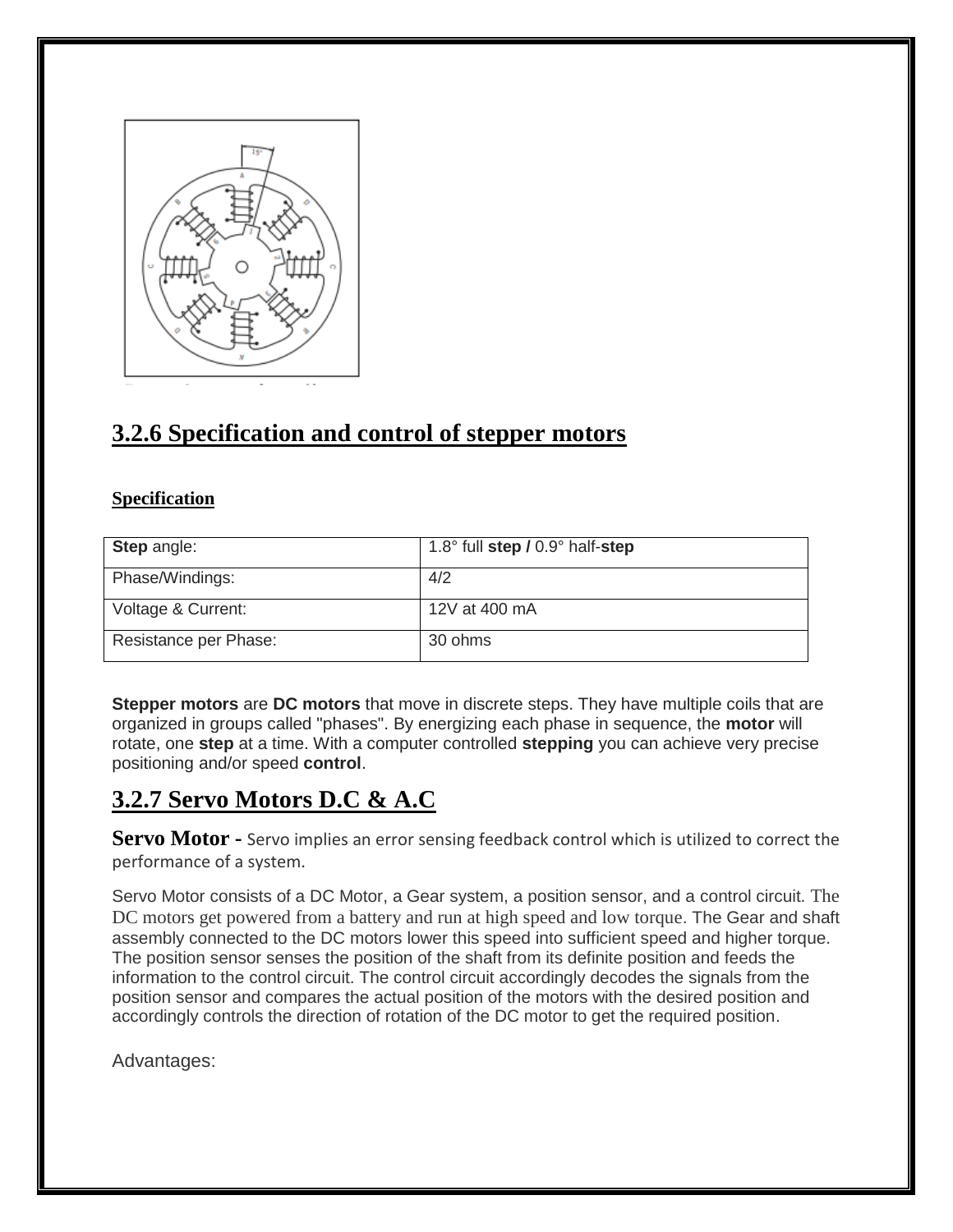

# **3.2.6 Specification and control of stepper motors**

#### **Specification**

| <b>Step angle:</b>    | 1.8° full step / 0.9° half-step |
|-----------------------|---------------------------------|
| Phase/Windings:       | 4/2                             |
| Voltage & Current:    | 12V at 400 mA                   |
| Resistance per Phase: | 30 ohms                         |

**Stepper motors** are **DC motors** that move in discrete steps. They have multiple coils that are organized in groups called "phases". By energizing each phase in sequence, the **motor** will rotate, one **step** at a time. With a computer controlled **stepping** you can achieve very precise positioning and/or speed **control**.

# **3.2.7 Servo Motors D.C & A.C**

**Servo Motor -** Servo implies an error sensing feedback control which is utilized to correct the performance of a system.

Servo Motor consists of a DC Motor, a Gear system, a position sensor, and a control circuit. [The](https://www.elprocus.com/battery-charger-timer-tips/)  [DC motors get powered from a battery and run at high speed and low torque](https://www.elprocus.com/battery-charger-timer-tips/). The Gear and shaft assembly connected to the DC motors lower this speed into sufficient speed and higher torque. The position sensor senses the position of the shaft from its definite position and feeds the information to the control circuit. The control circuit accordingly decodes the signals from the position sensor and compares the actual position of the motors with the desired position and accordingly controls the direction of rotation of the DC motor to get the required position.

Advantages: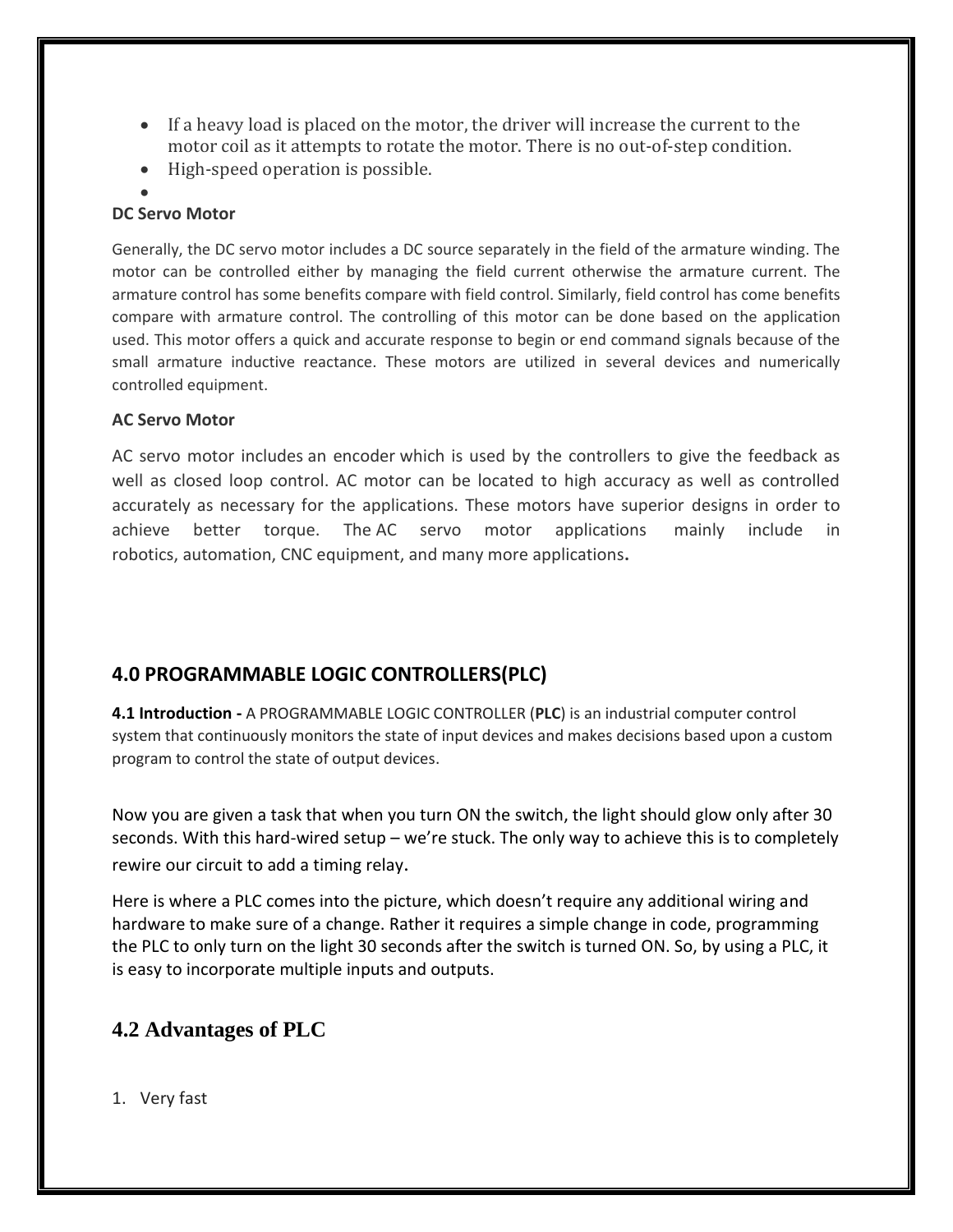- If a heavy load is placed on the motor, the driver will increase the current to the motor coil as it attempts to rotate the motor. There is no out-of-step condition.
- High-speed operation is possible.
- $\bullet$

#### **DC Servo Motor**

Generally, the DC servo motor includes a DC source separately in the field of the armature winding. The motor can be controlled either by managing the field current otherwise the armature current. The armature control has some benefits compare with field control. Similarly, field control has come benefits compare with armature control. The controlling of this motor can be done based on the application used. This motor offers a quick and accurate response to begin or end command signals because of the small armature inductive reactance. These motors are utilized in several devices and numerically controlled equipment.

#### **AC Servo Motor**

AC servo motor includes an encoder which is used by the controllers to give the feedback as well as closed loop control. AC motor can be located to high accuracy as well as controlled accurately as necessary for the applications. These motors have superior designs in order to achieve better torque. The AC servo motor applications mainly include in robotics, automation, CNC equipment, and many more applications**.**

## **4.0 PROGRAMMABLE LOGIC CONTROLLERS(PLC)**

**4.1 Introduction -** A PROGRAMMABLE LOGIC CONTROLLER (**PLC**) is an industrial computer control system that continuously monitors the state of input devices and makes decisions based upon a custom program to control the state of output devices.

Now you are given a task that when you turn ON the switch, the light should glow only after 30 seconds. With this hard-wired setup – we're stuck. The only way to achieve this is to completely rewire our circuit to add a timing relay.

Here is where a PLC comes into the picture, which doesn't require any additional wiring and hardware to make sure of a change. Rather it requires a simple change in code, programming the PLC to only turn on the light 30 seconds after the switch is turned ON. So, by using a PLC, it is easy to incorporate multiple inputs and outputs.

## **4.2 Advantages of PLC**

1. Very fast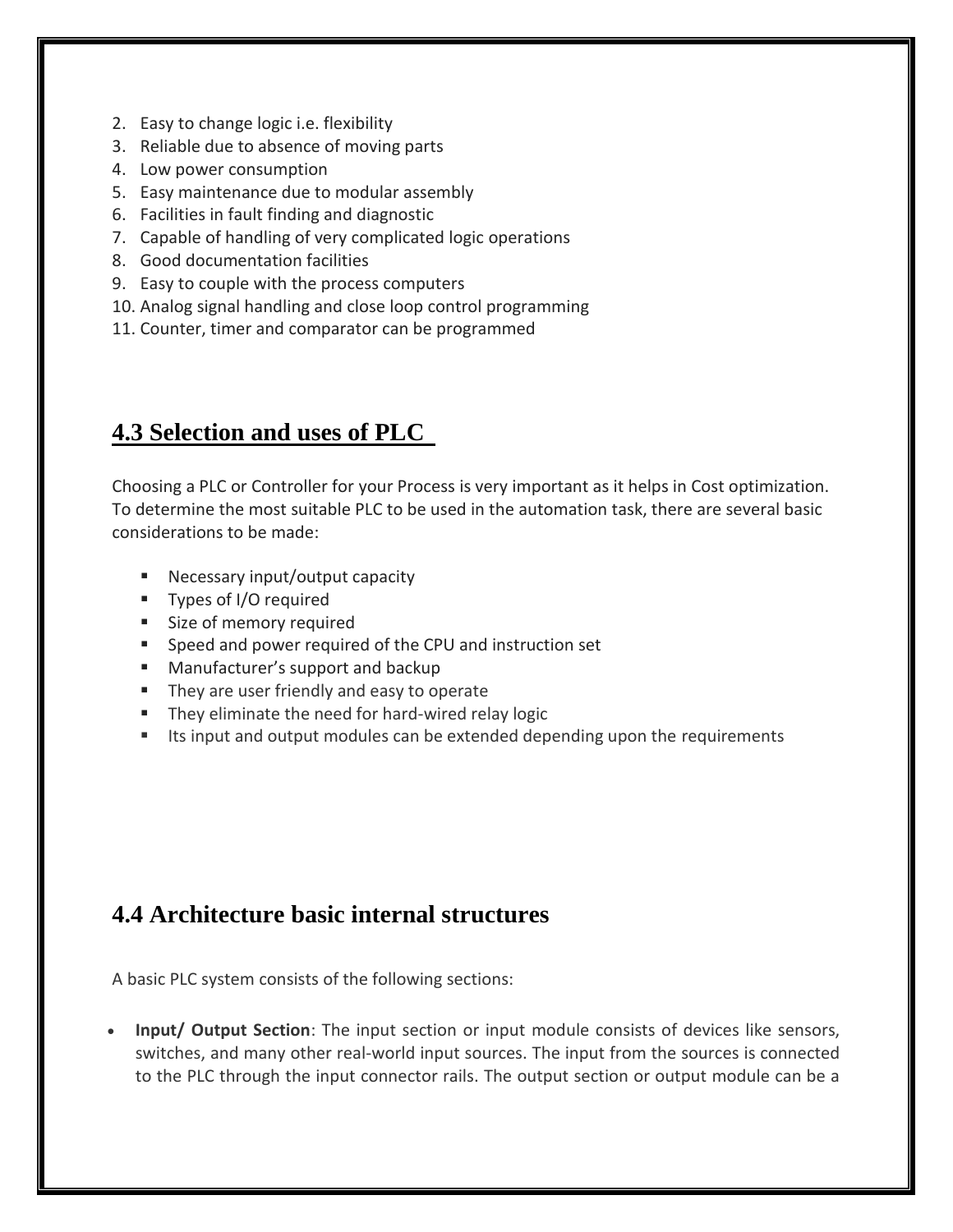- 2. Easy to change logic i.e. flexibility
- 3. Reliable due to absence of moving parts
- 4. Low power consumption
- 5. Easy maintenance due to modular assembly
- 6. Facilities in fault finding and diagnostic
- 7. Capable of handling of very complicated logic operations
- 8. Good documentation facilities
- 9. Easy to couple with the process computers
- 10. Analog signal handling and close loop control programming
- 11. Counter, timer and comparator can be programmed

# **4.3 Selection and uses of PLC**

Choosing a PLC or Controller for your Process is very important as it helps in Cost optimization. To determine the most suitable PLC to be used in the automation task, there are several basic considerations to be made:

- **Necessary input/output capacity**
- **Types of I/O required**
- **Size of memory required**
- Speed and power required of the CPU and instruction set
- **Manufacturer's support and backup**
- **They are user friendly and easy to operate**
- **They eliminate the need for hard-wired relay logic**
- Its input and output modules can be extended depending upon the requirements

# **4.4 Architecture basic internal structures**

A basic PLC system consists of the following sections:

 **Input/ Output Section**: The input section or input module consists of devices like sensors, switches, and many other real-world input sources. The input from the sources is connected to the PLC through the input connector rails. The output section or output module can be a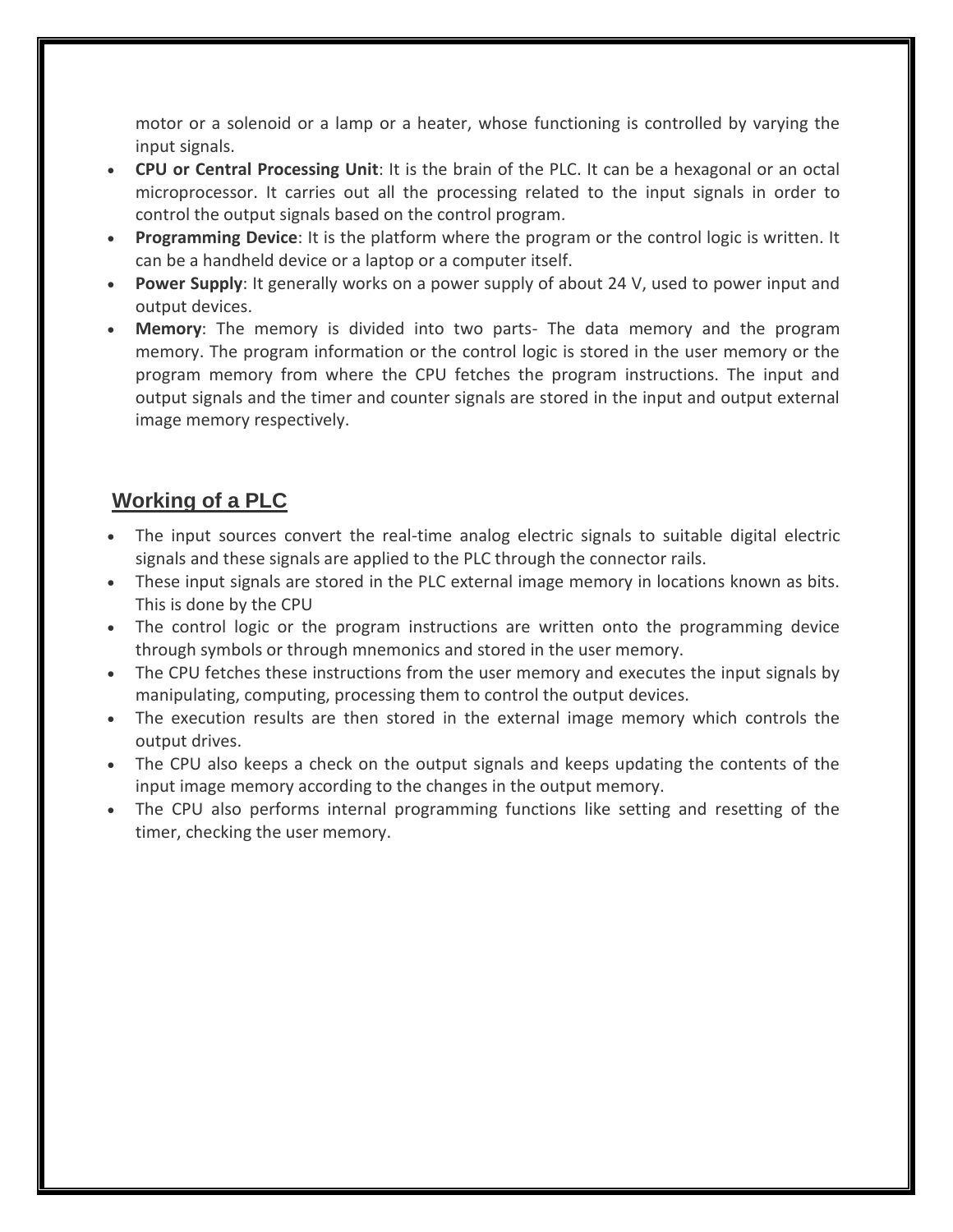motor or a solenoid or a lamp or a heater, whose functioning is controlled by varying the input signals.

- **CPU or Central Processing Unit**: It is the brain of the PLC. It can be a hexagonal or an octal microprocessor. It carries out all the processing related to the input signals in order to control the output signals based on the control program.
- **Programming Device**: It is the platform where the program or the control logic is written. It can be a handheld device or a laptop or a computer itself.
- **Power Supply**: It generally works on a power supply of about 24 V, used to power input and output devices.
- **Memory**: The memory is divided into two parts- The data memory and the program memory. The program information or the control logic is stored in the user memory or the program memory from where the CPU fetches the program instructions. The input and output signals and the timer and counter signals are stored in the input and output external image memory respectively.

## **Working of a PLC**

- The input sources convert the real-time analog electric signals to suitable digital electric signals and these signals are applied to the PLC through the connector rails.
- These input signals are stored in the PLC external image memory in locations known as bits. This is done by the CPU
- The control logic or the program instructions are written onto the programming device through symbols or through mnemonics and stored in the user memory.
- The CPU fetches these instructions from the user memory and executes the input signals by manipulating, computing, processing them to control the output devices.
- The execution results are then stored in the external image memory which controls the output drives.
- The CPU also keeps a check on the output signals and keeps updating the contents of the input image memory according to the changes in the output memory.
- The CPU also performs internal programming functions like setting and resetting of the timer, checking the user memory.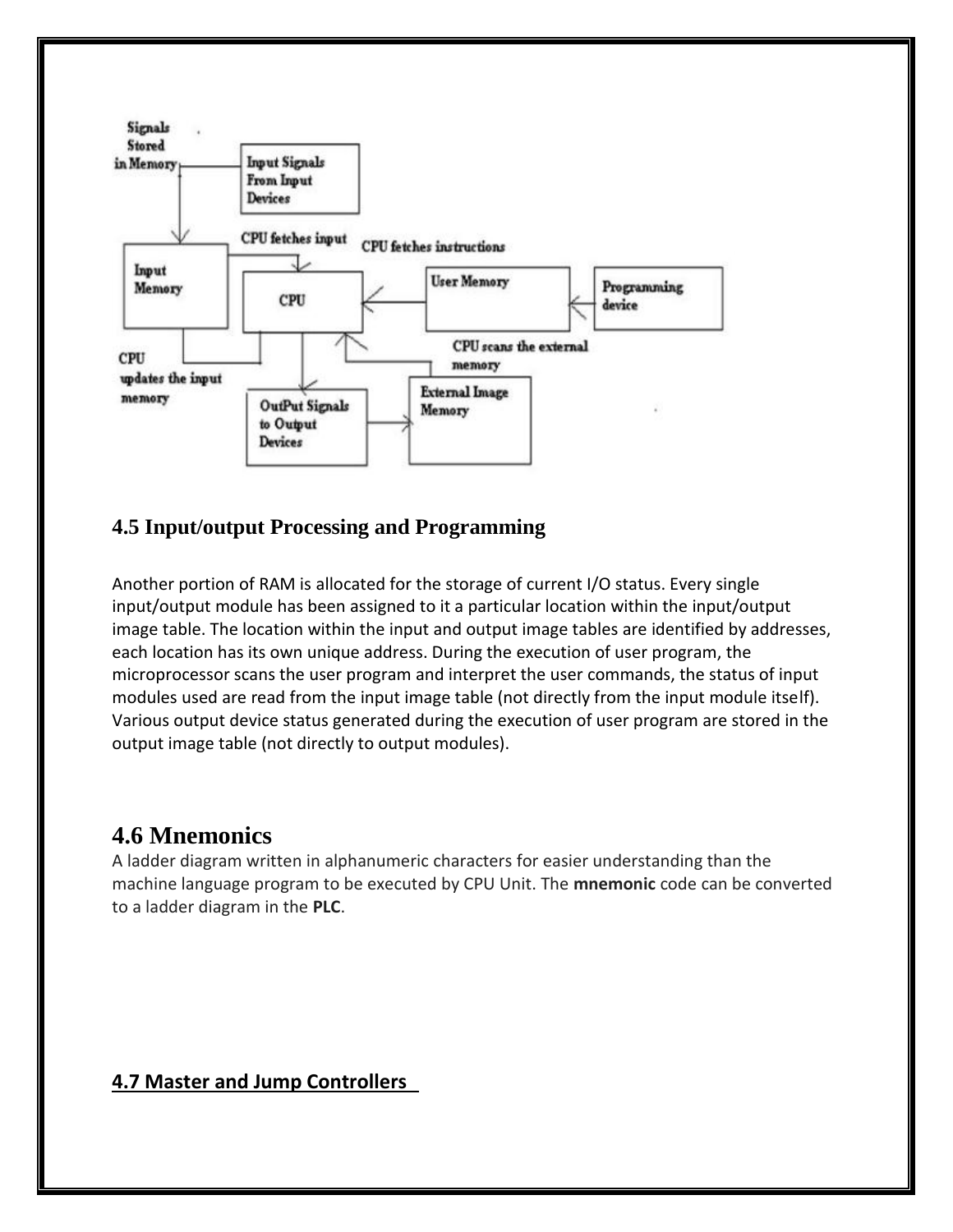

## **4.5 Input/output Processing and Programming**

Another portion of RAM is allocated for the storage of current I/O status. Every single input/output module has been assigned to it a particular location within the input/output image table. The location within the input and output image tables are identified by addresses, each location has its own unique address. During the execution of user program, the microprocessor scans the user program and interpret the user commands, the status of input modules used are read from the input image table (not directly from the input module itself). Various output device status generated during the execution of user program are stored in the output image table (not directly to output modules).

# **4.6 Mnemonics**

A ladder diagram written in alphanumeric characters for easier understanding than the machine language program to be executed by CPU Unit. The **mnemonic** code can be converted to a ladder diagram in the **PLC**.

## **4.7 Master and Jump Controllers**